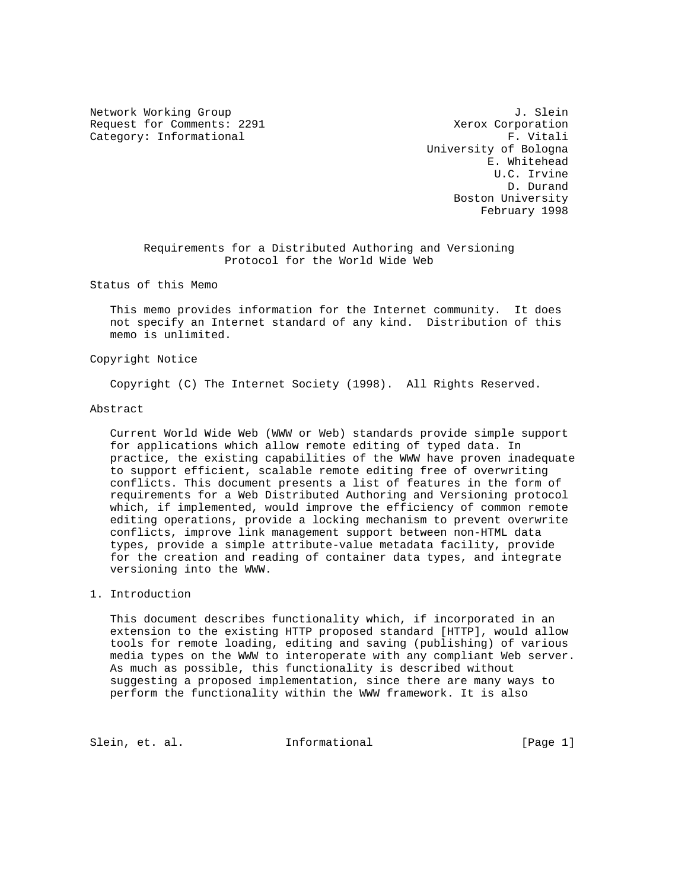Request for Comments: 2291 Xerox Corporation Category: Informational example of the set of the set of the set of the set of the set of the set of the set of the set of the set of the set of the set of the set of the set of the set of the set of the set of the set of

Network Working Group 3. Slein University of Bologna E. Whitehead U.C. Irvine D. Durand Boston University February 1998

> Requirements for a Distributed Authoring and Versioning Protocol for the World Wide Web

Status of this Memo

 This memo provides information for the Internet community. It does not specify an Internet standard of any kind. Distribution of this memo is unlimited.

### Copyright Notice

Copyright (C) The Internet Society (1998). All Rights Reserved.

#### Abstract

 Current World Wide Web (WWW or Web) standards provide simple support for applications which allow remote editing of typed data. In practice, the existing capabilities of the WWW have proven inadequate to support efficient, scalable remote editing free of overwriting conflicts. This document presents a list of features in the form of requirements for a Web Distributed Authoring and Versioning protocol which, if implemented, would improve the efficiency of common remote editing operations, provide a locking mechanism to prevent overwrite conflicts, improve link management support between non-HTML data types, provide a simple attribute-value metadata facility, provide for the creation and reading of container data types, and integrate versioning into the WWW.

## 1. Introduction

 This document describes functionality which, if incorporated in an extension to the existing HTTP proposed standard [HTTP], would allow tools for remote loading, editing and saving (publishing) of various media types on the WWW to interoperate with any compliant Web server. As much as possible, this functionality is described without suggesting a proposed implementation, since there are many ways to perform the functionality within the WWW framework. It is also

Slein, et. al. Informational [Page 1]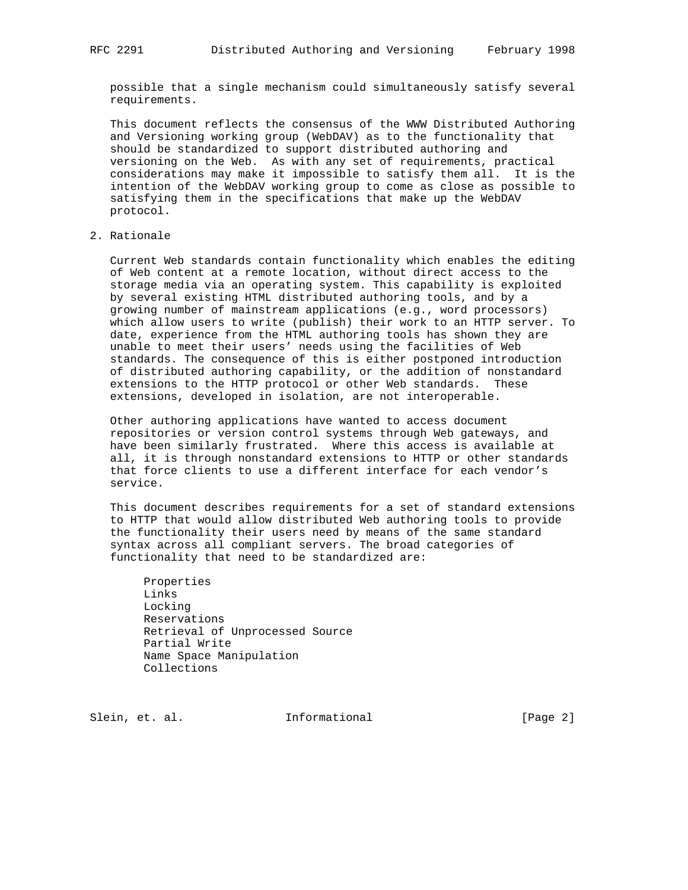possible that a single mechanism could simultaneously satisfy several requirements.

 This document reflects the consensus of the WWW Distributed Authoring and Versioning working group (WebDAV) as to the functionality that should be standardized to support distributed authoring and versioning on the Web. As with any set of requirements, practical considerations may make it impossible to satisfy them all. It is the intention of the WebDAV working group to come as close as possible to satisfying them in the specifications that make up the WebDAV protocol.

## 2. Rationale

 Current Web standards contain functionality which enables the editing of Web content at a remote location, without direct access to the storage media via an operating system. This capability is exploited by several existing HTML distributed authoring tools, and by a growing number of mainstream applications (e.g., word processors) which allow users to write (publish) their work to an HTTP server. To date, experience from the HTML authoring tools has shown they are unable to meet their users' needs using the facilities of Web standards. The consequence of this is either postponed introduction of distributed authoring capability, or the addition of nonstandard extensions to the HTTP protocol or other Web standards. These extensions, developed in isolation, are not interoperable.

 Other authoring applications have wanted to access document repositories or version control systems through Web gateways, and have been similarly frustrated. Where this access is available at all, it is through nonstandard extensions to HTTP or other standards that force clients to use a different interface for each vendor's service.

 This document describes requirements for a set of standard extensions to HTTP that would allow distributed Web authoring tools to provide the functionality their users need by means of the same standard syntax across all compliant servers. The broad categories of functionality that need to be standardized are:

 Properties Links Locking Reservations Retrieval of Unprocessed Source Partial Write Name Space Manipulation Collections

Slein, et. al. Informational [Page 2]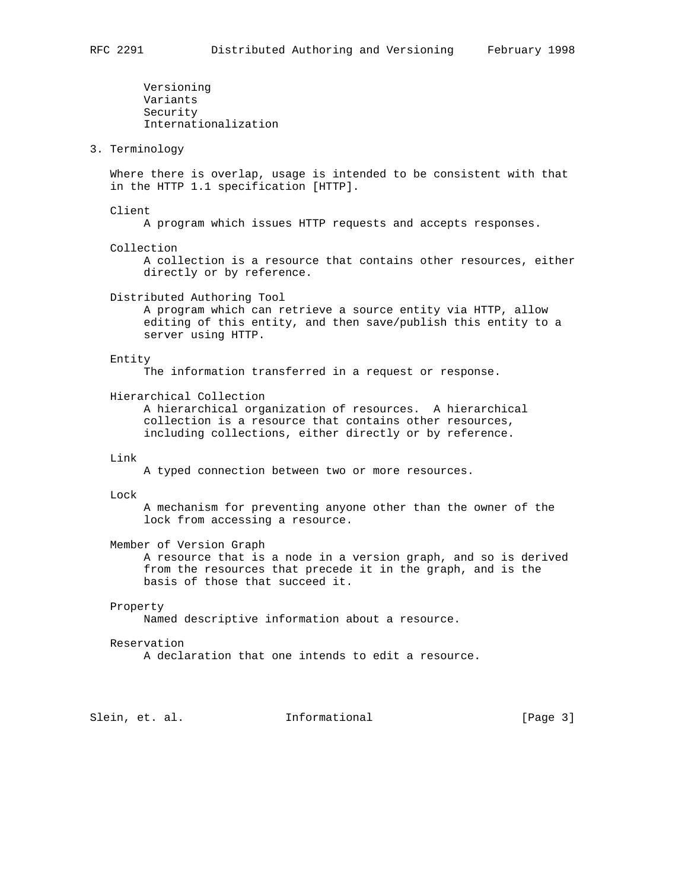Versioning Variants Security Internationalization 3. Terminology Where there is overlap, usage is intended to be consistent with that in the HTTP 1.1 specification [HTTP]. Client A program which issues HTTP requests and accepts responses. Collection A collection is a resource that contains other resources, either directly or by reference. Distributed Authoring Tool A program which can retrieve a source entity via HTTP, allow editing of this entity, and then save/publish this entity to a server using HTTP. Entity The information transferred in a request or response. Hierarchical Collection A hierarchical organization of resources. A hierarchical collection is a resource that contains other resources, including collections, either directly or by reference. Link A typed connection between two or more resources. Lock A mechanism for preventing anyone other than the owner of the lock from accessing a resource. Member of Version Graph A resource that is a node in a version graph, and so is derived from the resources that precede it in the graph, and is the basis of those that succeed it. Property Named descriptive information about a resource. Reservation A declaration that one intends to edit a resource. Slein, et. al. Informational [Page 3]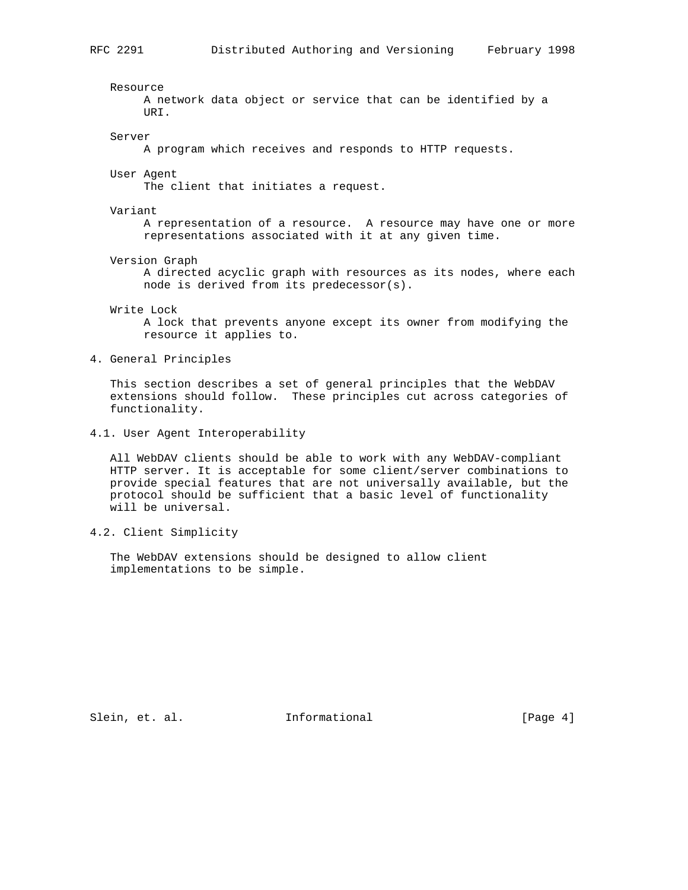Resource A network data object or service that can be identified by a URI. Server A program which receives and responds to HTTP requests. User Agent The client that initiates a request. Variant A representation of a resource. A resource may have one or more representations associated with it at any given time. Version Graph A directed acyclic graph with resources as its nodes, where each node is derived from its predecessor(s). Write Lock A lock that prevents anyone except its owner from modifying the resource it applies to. 4. General Principles

 This section describes a set of general principles that the WebDAV extensions should follow. These principles cut across categories of functionality.

4.1. User Agent Interoperability

 All WebDAV clients should be able to work with any WebDAV-compliant HTTP server. It is acceptable for some client/server combinations to provide special features that are not universally available, but the protocol should be sufficient that a basic level of functionality will be universal.

4.2. Client Simplicity

 The WebDAV extensions should be designed to allow client implementations to be simple.

Slein, et. al. 1nformational 1999 [Page 4]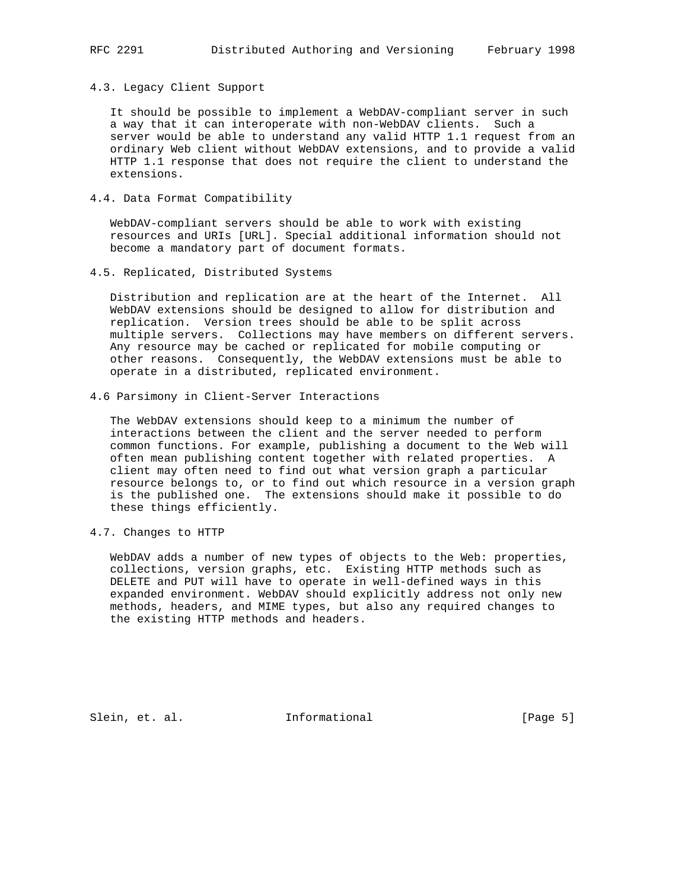4.3. Legacy Client Support

 It should be possible to implement a WebDAV-compliant server in such a way that it can interoperate with non-WebDAV clients. Such a server would be able to understand any valid HTTP 1.1 request from an ordinary Web client without WebDAV extensions, and to provide a valid HTTP 1.1 response that does not require the client to understand the extensions.

4.4. Data Format Compatibility

 WebDAV-compliant servers should be able to work with existing resources and URIs [URL]. Special additional information should not become a mandatory part of document formats.

4.5. Replicated, Distributed Systems

 Distribution and replication are at the heart of the Internet. All WebDAV extensions should be designed to allow for distribution and replication. Version trees should be able to be split across multiple servers. Collections may have members on different servers. Any resource may be cached or replicated for mobile computing or other reasons. Consequently, the WebDAV extensions must be able to operate in a distributed, replicated environment.

4.6 Parsimony in Client-Server Interactions

 The WebDAV extensions should keep to a minimum the number of interactions between the client and the server needed to perform common functions. For example, publishing a document to the Web will often mean publishing content together with related properties. A client may often need to find out what version graph a particular resource belongs to, or to find out which resource in a version graph is the published one. The extensions should make it possible to do these things efficiently.

4.7. Changes to HTTP

 WebDAV adds a number of new types of objects to the Web: properties, collections, version graphs, etc. Existing HTTP methods such as DELETE and PUT will have to operate in well-defined ways in this expanded environment. WebDAV should explicitly address not only new methods, headers, and MIME types, but also any required changes to the existing HTTP methods and headers.

Slein, et. al. **Informational** [Page 5]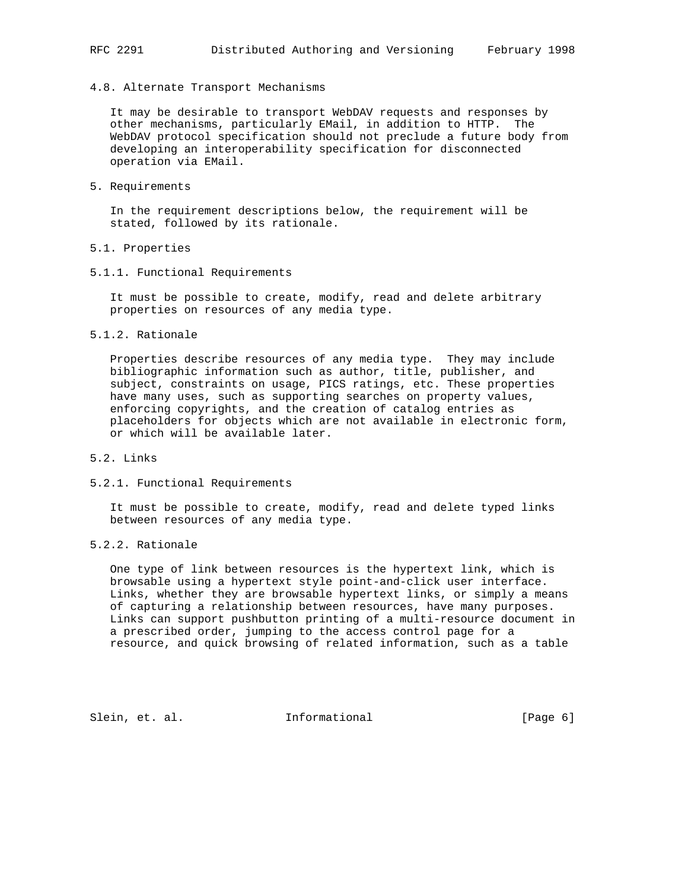### 4.8. Alternate Transport Mechanisms

 It may be desirable to transport WebDAV requests and responses by other mechanisms, particularly EMail, in addition to HTTP. The WebDAV protocol specification should not preclude a future body from developing an interoperability specification for disconnected operation via EMail.

5. Requirements

 In the requirement descriptions below, the requirement will be stated, followed by its rationale.

- 5.1. Properties
- 5.1.1. Functional Requirements

 It must be possible to create, modify, read and delete arbitrary properties on resources of any media type.

5.1.2. Rationale

 Properties describe resources of any media type. They may include bibliographic information such as author, title, publisher, and subject, constraints on usage, PICS ratings, etc. These properties have many uses, such as supporting searches on property values, enforcing copyrights, and the creation of catalog entries as placeholders for objects which are not available in electronic form, or which will be available later.

- 5.2. Links
- 5.2.1. Functional Requirements

 It must be possible to create, modify, read and delete typed links between resources of any media type.

5.2.2. Rationale

 One type of link between resources is the hypertext link, which is browsable using a hypertext style point-and-click user interface. Links, whether they are browsable hypertext links, or simply a means of capturing a relationship between resources, have many purposes. Links can support pushbutton printing of a multi-resource document in a prescribed order, jumping to the access control page for a resource, and quick browsing of related information, such as a table

Slein, et. al. 1nformational (Page 6)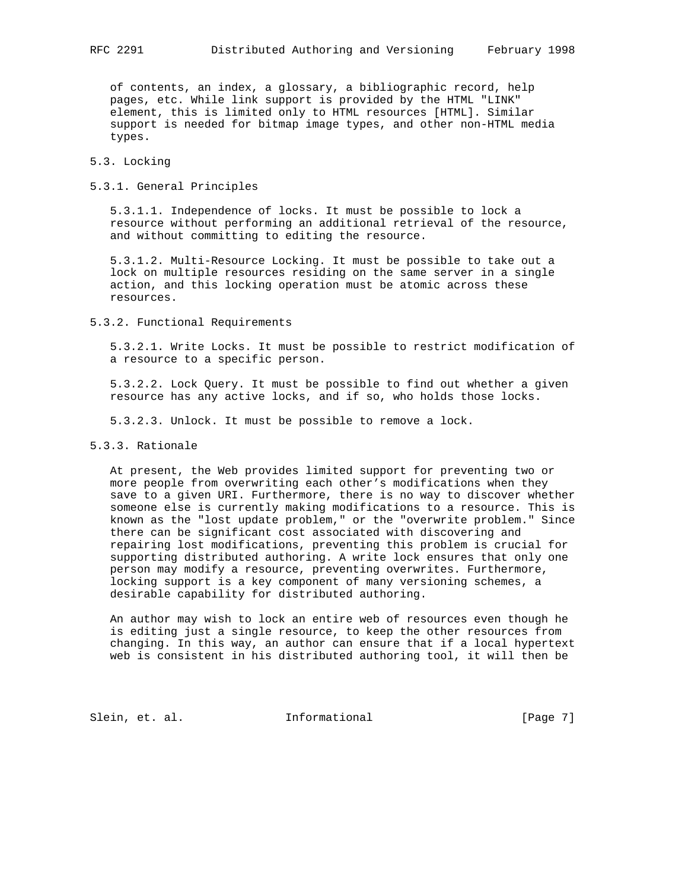of contents, an index, a glossary, a bibliographic record, help pages, etc. While link support is provided by the HTML "LINK" element, this is limited only to HTML resources [HTML]. Similar support is needed for bitmap image types, and other non-HTML media types.

## 5.3. Locking

## 5.3.1. General Principles

 5.3.1.1. Independence of locks. It must be possible to lock a resource without performing an additional retrieval of the resource, and without committing to editing the resource.

 5.3.1.2. Multi-Resource Locking. It must be possible to take out a lock on multiple resources residing on the same server in a single action, and this locking operation must be atomic across these resources.

5.3.2. Functional Requirements

 5.3.2.1. Write Locks. It must be possible to restrict modification of a resource to a specific person.

 5.3.2.2. Lock Query. It must be possible to find out whether a given resource has any active locks, and if so, who holds those locks.

5.3.2.3. Unlock. It must be possible to remove a lock.

5.3.3. Rationale

 At present, the Web provides limited support for preventing two or more people from overwriting each other's modifications when they save to a given URI. Furthermore, there is no way to discover whether someone else is currently making modifications to a resource. This is known as the "lost update problem," or the "overwrite problem." Since there can be significant cost associated with discovering and repairing lost modifications, preventing this problem is crucial for supporting distributed authoring. A write lock ensures that only one person may modify a resource, preventing overwrites. Furthermore, locking support is a key component of many versioning schemes, a desirable capability for distributed authoring.

 An author may wish to lock an entire web of resources even though he is editing just a single resource, to keep the other resources from changing. In this way, an author can ensure that if a local hypertext web is consistent in his distributed authoring tool, it will then be

Slein, et. al. Informational [Page 7]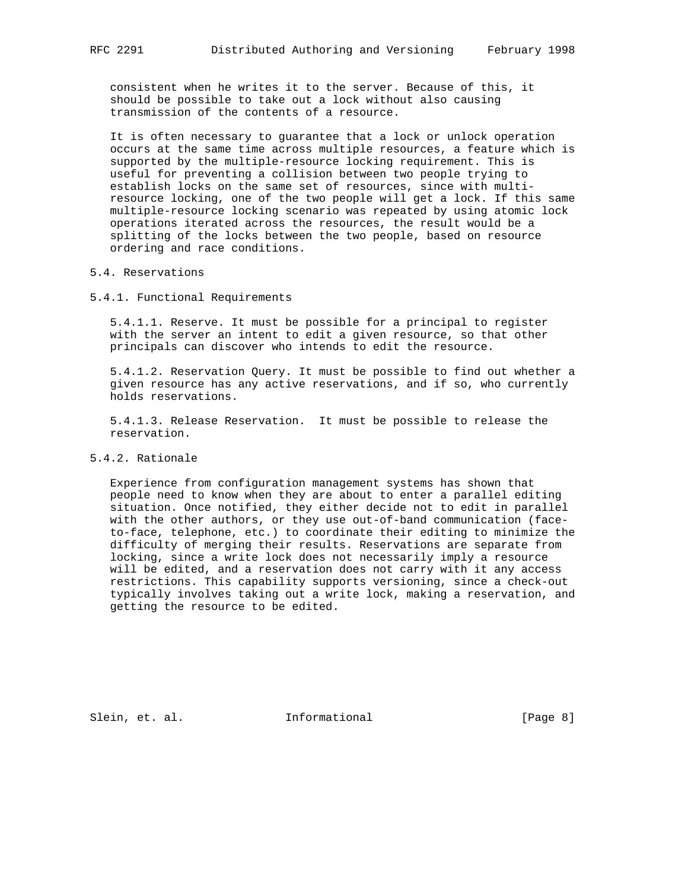consistent when he writes it to the server. Because of this, it should be possible to take out a lock without also causing transmission of the contents of a resource.

 It is often necessary to guarantee that a lock or unlock operation occurs at the same time across multiple resources, a feature which is supported by the multiple-resource locking requirement. This is useful for preventing a collision between two people trying to establish locks on the same set of resources, since with multi resource locking, one of the two people will get a lock. If this same multiple-resource locking scenario was repeated by using atomic lock operations iterated across the resources, the result would be a splitting of the locks between the two people, based on resource ordering and race conditions.

### 5.4. Reservations

5.4.1. Functional Requirements

 5.4.1.1. Reserve. It must be possible for a principal to register with the server an intent to edit a given resource, so that other principals can discover who intends to edit the resource.

 5.4.1.2. Reservation Query. It must be possible to find out whether a given resource has any active reservations, and if so, who currently holds reservations.

 5.4.1.3. Release Reservation. It must be possible to release the reservation.

# 5.4.2. Rationale

 Experience from configuration management systems has shown that people need to know when they are about to enter a parallel editing situation. Once notified, they either decide not to edit in parallel with the other authors, or they use out-of-band communication (face to-face, telephone, etc.) to coordinate their editing to minimize the difficulty of merging their results. Reservations are separate from locking, since a write lock does not necessarily imply a resource will be edited, and a reservation does not carry with it any access restrictions. This capability supports versioning, since a check-out typically involves taking out a write lock, making a reservation, and getting the resource to be edited.

Slein, et. al. 10. Informational 1999 [Page 8]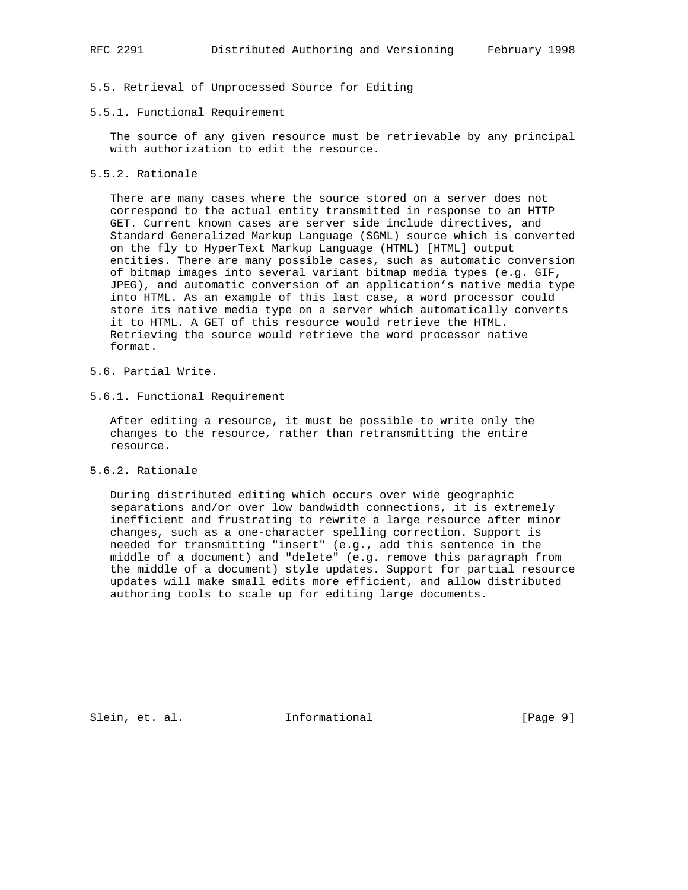# 5.5. Retrieval of Unprocessed Source for Editing

#### 5.5.1. Functional Requirement

 The source of any given resource must be retrievable by any principal with authorization to edit the resource.

## 5.5.2. Rationale

 There are many cases where the source stored on a server does not correspond to the actual entity transmitted in response to an HTTP GET. Current known cases are server side include directives, and Standard Generalized Markup Language (SGML) source which is converted on the fly to HyperText Markup Language (HTML) [HTML] output entities. There are many possible cases, such as automatic conversion of bitmap images into several variant bitmap media types (e.g. GIF, JPEG), and automatic conversion of an application's native media type into HTML. As an example of this last case, a word processor could store its native media type on a server which automatically converts it to HTML. A GET of this resource would retrieve the HTML. Retrieving the source would retrieve the word processor native format.

- 5.6. Partial Write.
- 5.6.1. Functional Requirement

 After editing a resource, it must be possible to write only the changes to the resource, rather than retransmitting the entire resource.

5.6.2. Rationale

 During distributed editing which occurs over wide geographic separations and/or over low bandwidth connections, it is extremely inefficient and frustrating to rewrite a large resource after minor changes, such as a one-character spelling correction. Support is needed for transmitting "insert" (e.g., add this sentence in the middle of a document) and "delete" (e.g. remove this paragraph from the middle of a document) style updates. Support for partial resource updates will make small edits more efficient, and allow distributed authoring tools to scale up for editing large documents.

Slein, et. al. Informational [Page 9]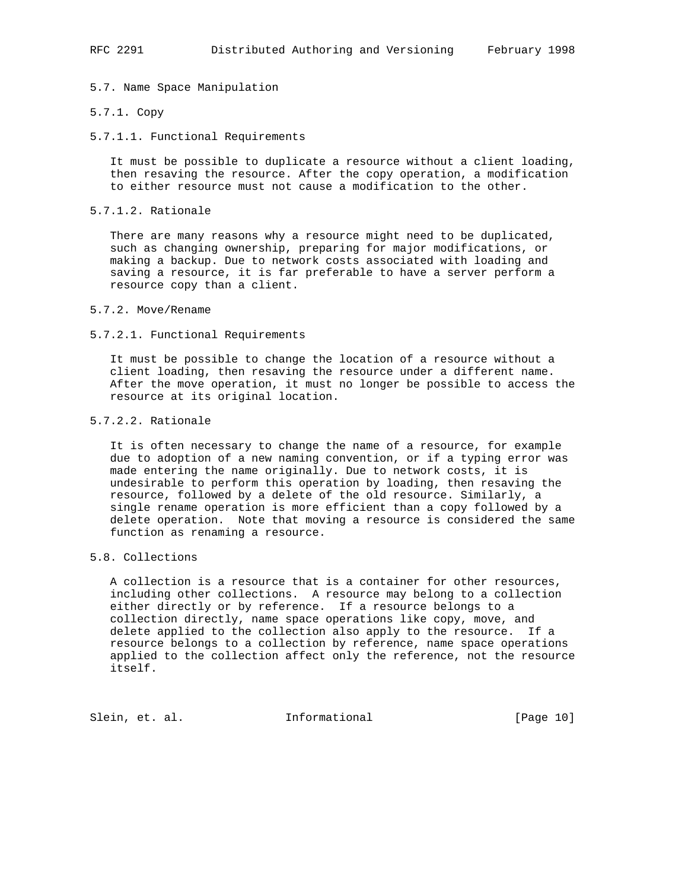5.7. Name Space Manipulation

#### 5.7.1. Copy

5.7.1.1. Functional Requirements

 It must be possible to duplicate a resource without a client loading, then resaving the resource. After the copy operation, a modification to either resource must not cause a modification to the other.

5.7.1.2. Rationale

 There are many reasons why a resource might need to be duplicated, such as changing ownership, preparing for major modifications, or making a backup. Due to network costs associated with loading and saving a resource, it is far preferable to have a server perform a resource copy than a client.

5.7.2. Move/Rename

#### 5.7.2.1. Functional Requirements

 It must be possible to change the location of a resource without a client loading, then resaving the resource under a different name. After the move operation, it must no longer be possible to access the resource at its original location.

## 5.7.2.2. Rationale

 It is often necessary to change the name of a resource, for example due to adoption of a new naming convention, or if a typing error was made entering the name originally. Due to network costs, it is undesirable to perform this operation by loading, then resaving the resource, followed by a delete of the old resource. Similarly, a single rename operation is more efficient than a copy followed by a delete operation. Note that moving a resource is considered the same function as renaming a resource.

## 5.8. Collections

 A collection is a resource that is a container for other resources, including other collections. A resource may belong to a collection either directly or by reference. If a resource belongs to a collection directly, name space operations like copy, move, and delete applied to the collection also apply to the resource. If a resource belongs to a collection by reference, name space operations applied to the collection affect only the reference, not the resource itself.

Slein, et. al. Informational [Page 10]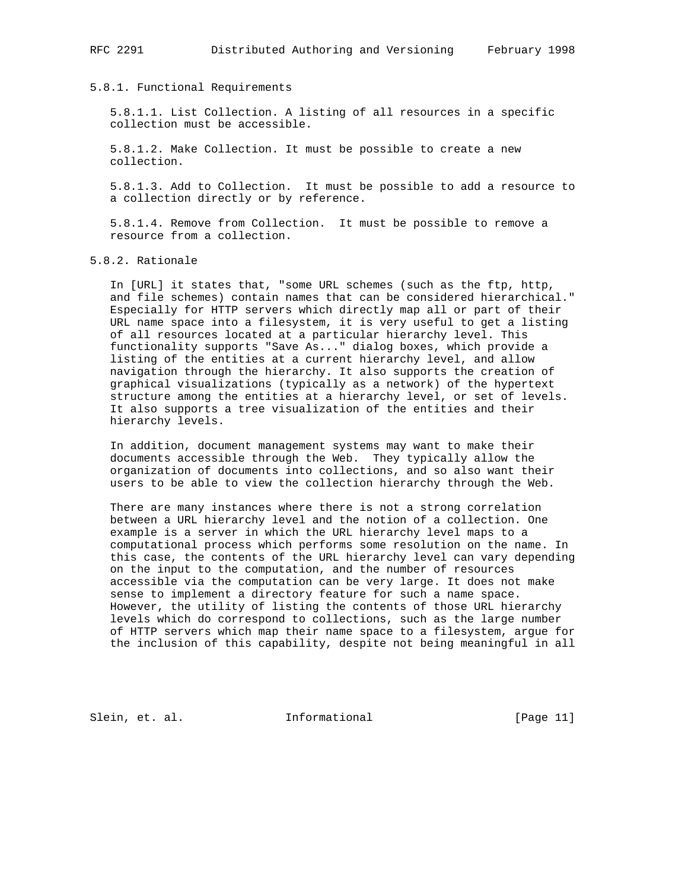## 5.8.1. Functional Requirements

 5.8.1.1. List Collection. A listing of all resources in a specific collection must be accessible.

 5.8.1.2. Make Collection. It must be possible to create a new collection.

 5.8.1.3. Add to Collection. It must be possible to add a resource to a collection directly or by reference.

 5.8.1.4. Remove from Collection. It must be possible to remove a resource from a collection.

5.8.2. Rationale

 In [URL] it states that, "some URL schemes (such as the ftp, http, and file schemes) contain names that can be considered hierarchical." Especially for HTTP servers which directly map all or part of their URL name space into a filesystem, it is very useful to get a listing of all resources located at a particular hierarchy level. This functionality supports "Save As..." dialog boxes, which provide a listing of the entities at a current hierarchy level, and allow navigation through the hierarchy. It also supports the creation of graphical visualizations (typically as a network) of the hypertext structure among the entities at a hierarchy level, or set of levels. It also supports a tree visualization of the entities and their hierarchy levels.

 In addition, document management systems may want to make their documents accessible through the Web. They typically allow the organization of documents into collections, and so also want their users to be able to view the collection hierarchy through the Web.

 There are many instances where there is not a strong correlation between a URL hierarchy level and the notion of a collection. One example is a server in which the URL hierarchy level maps to a computational process which performs some resolution on the name. In this case, the contents of the URL hierarchy level can vary depending on the input to the computation, and the number of resources accessible via the computation can be very large. It does not make sense to implement a directory feature for such a name space. However, the utility of listing the contents of those URL hierarchy levels which do correspond to collections, such as the large number of HTTP servers which map their name space to a filesystem, argue for the inclusion of this capability, despite not being meaningful in all

Slein, et. al. 10. Informational [Page 11]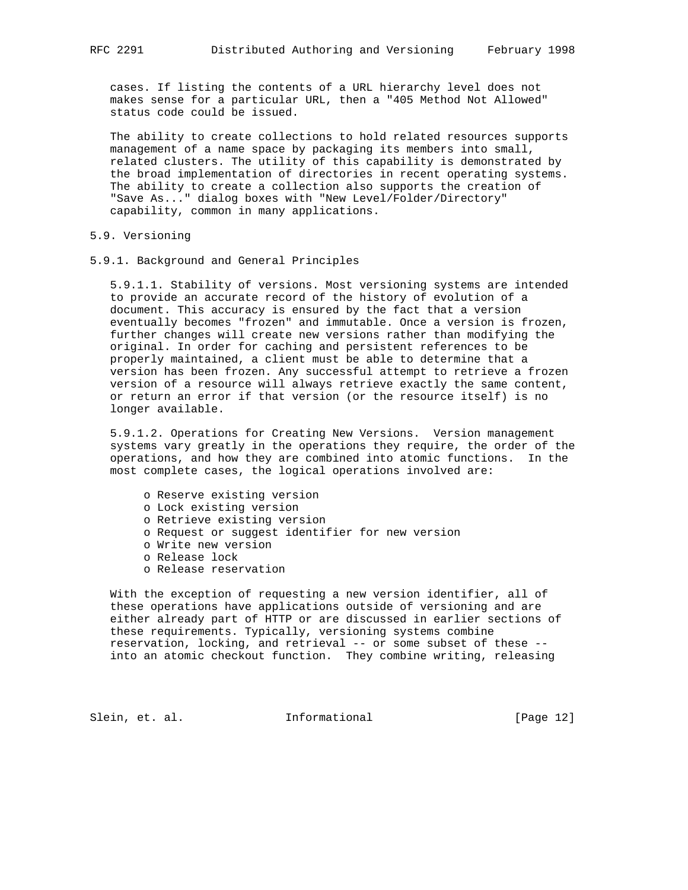cases. If listing the contents of a URL hierarchy level does not makes sense for a particular URL, then a "405 Method Not Allowed" status code could be issued.

 The ability to create collections to hold related resources supports management of a name space by packaging its members into small, related clusters. The utility of this capability is demonstrated by the broad implementation of directories in recent operating systems. The ability to create a collection also supports the creation of "Save As..." dialog boxes with "New Level/Folder/Directory" capability, common in many applications.

## 5.9. Versioning

5.9.1. Background and General Principles

 5.9.1.1. Stability of versions. Most versioning systems are intended to provide an accurate record of the history of evolution of a document. This accuracy is ensured by the fact that a version eventually becomes "frozen" and immutable. Once a version is frozen, further changes will create new versions rather than modifying the original. In order for caching and persistent references to be properly maintained, a client must be able to determine that a version has been frozen. Any successful attempt to retrieve a frozen version of a resource will always retrieve exactly the same content, or return an error if that version (or the resource itself) is no longer available.

 5.9.1.2. Operations for Creating New Versions. Version management systems vary greatly in the operations they require, the order of the operations, and how they are combined into atomic functions. In the most complete cases, the logical operations involved are:

- o Reserve existing version
- o Lock existing version
- o Retrieve existing version
- o Request or suggest identifier for new version
- o Write new version
- o Release lock
- o Release reservation

 With the exception of requesting a new version identifier, all of these operations have applications outside of versioning and are either already part of HTTP or are discussed in earlier sections of these requirements. Typically, versioning systems combine reservation, locking, and retrieval -- or some subset of these - into an atomic checkout function. They combine writing, releasing

Slein, et. al. 1nformational [Page 12]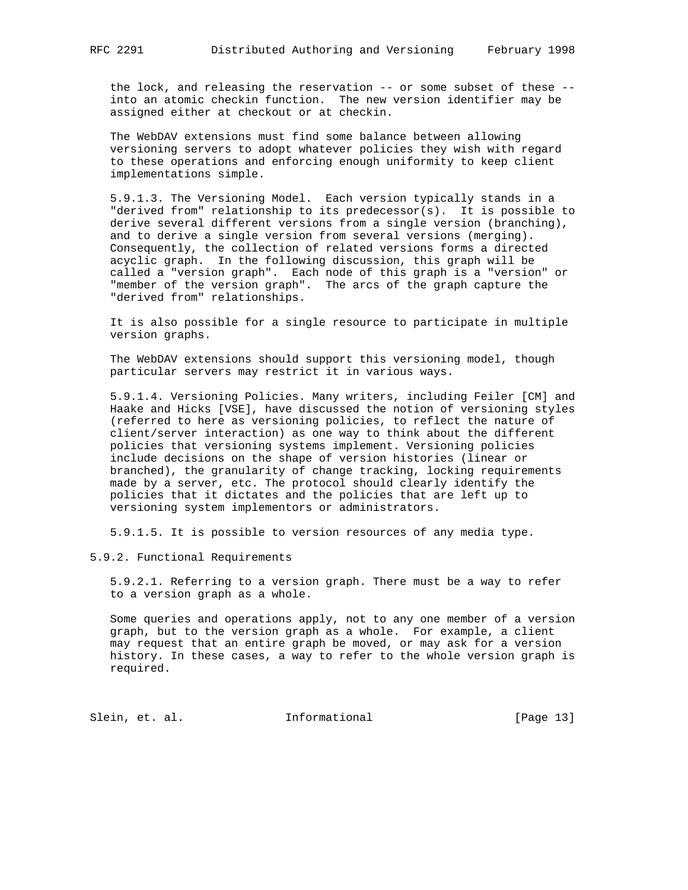the lock, and releasing the reservation -- or some subset of these - into an atomic checkin function. The new version identifier may be assigned either at checkout or at checkin.

 The WebDAV extensions must find some balance between allowing versioning servers to adopt whatever policies they wish with regard to these operations and enforcing enough uniformity to keep client implementations simple.

 5.9.1.3. The Versioning Model. Each version typically stands in a "derived from" relationship to its predecessor(s). It is possible to derive several different versions from a single version (branching), and to derive a single version from several versions (merging). Consequently, the collection of related versions forms a directed acyclic graph. In the following discussion, this graph will be called a "version graph". Each node of this graph is a "version" or "member of the version graph". The arcs of the graph capture the "derived from" relationships.

 It is also possible for a single resource to participate in multiple version graphs.

 The WebDAV extensions should support this versioning model, though particular servers may restrict it in various ways.

 5.9.1.4. Versioning Policies. Many writers, including Feiler [CM] and Haake and Hicks [VSE], have discussed the notion of versioning styles (referred to here as versioning policies, to reflect the nature of client/server interaction) as one way to think about the different policies that versioning systems implement. Versioning policies include decisions on the shape of version histories (linear or branched), the granularity of change tracking, locking requirements made by a server, etc. The protocol should clearly identify the policies that it dictates and the policies that are left up to versioning system implementors or administrators.

5.9.1.5. It is possible to version resources of any media type.

5.9.2. Functional Requirements

 5.9.2.1. Referring to a version graph. There must be a way to refer to a version graph as a whole.

 Some queries and operations apply, not to any one member of a version graph, but to the version graph as a whole. For example, a client may request that an entire graph be moved, or may ask for a version history. In these cases, a way to refer to the whole version graph is required.

Slein, et. al. 1nformational [Page 13]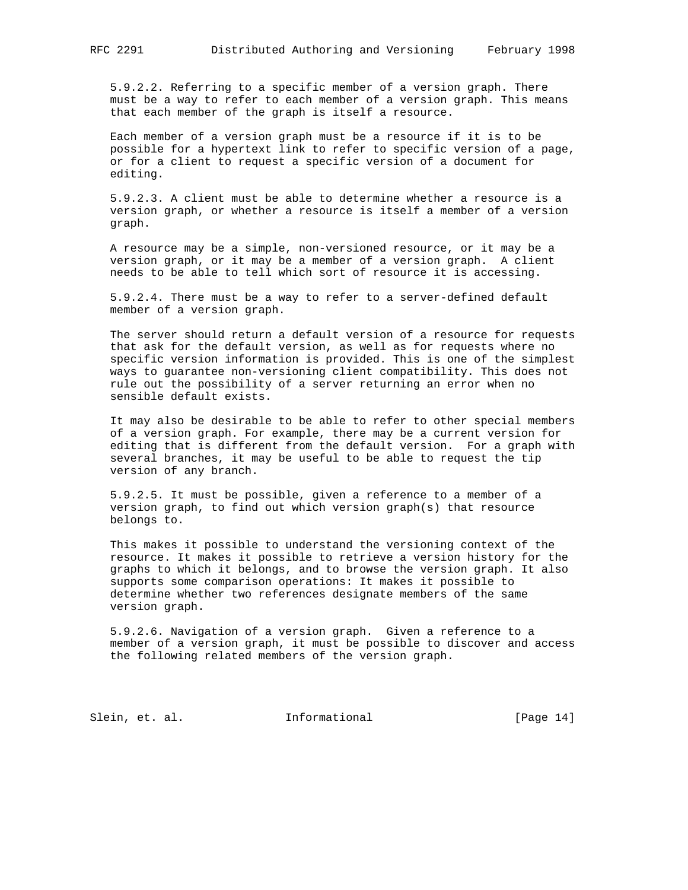5.9.2.2. Referring to a specific member of a version graph. There must be a way to refer to each member of a version graph. This means that each member of the graph is itself a resource.

 Each member of a version graph must be a resource if it is to be possible for a hypertext link to refer to specific version of a page, or for a client to request a specific version of a document for editing.

 5.9.2.3. A client must be able to determine whether a resource is a version graph, or whether a resource is itself a member of a version graph.

 A resource may be a simple, non-versioned resource, or it may be a version graph, or it may be a member of a version graph. A client needs to be able to tell which sort of resource it is accessing.

 5.9.2.4. There must be a way to refer to a server-defined default member of a version graph.

 The server should return a default version of a resource for requests that ask for the default version, as well as for requests where no specific version information is provided. This is one of the simplest ways to guarantee non-versioning client compatibility. This does not rule out the possibility of a server returning an error when no sensible default exists.

 It may also be desirable to be able to refer to other special members of a version graph. For example, there may be a current version for editing that is different from the default version. For a graph with several branches, it may be useful to be able to request the tip version of any branch.

 5.9.2.5. It must be possible, given a reference to a member of a version graph, to find out which version graph(s) that resource belongs to.

 This makes it possible to understand the versioning context of the resource. It makes it possible to retrieve a version history for the graphs to which it belongs, and to browse the version graph. It also supports some comparison operations: It makes it possible to determine whether two references designate members of the same version graph.

 5.9.2.6. Navigation of a version graph. Given a reference to a member of a version graph, it must be possible to discover and access the following related members of the version graph.

Slein, et. al. 10. Informational [Page 14]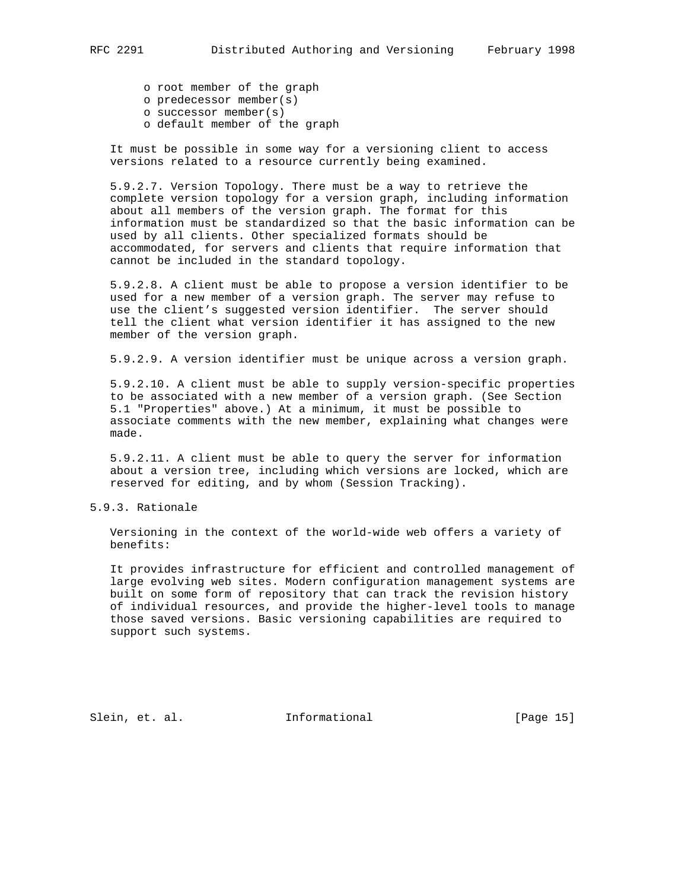o root member of the graph

- o predecessor member(s)
- o successor member(s)
- o default member of the graph

 It must be possible in some way for a versioning client to access versions related to a resource currently being examined.

 5.9.2.7. Version Topology. There must be a way to retrieve the complete version topology for a version graph, including information about all members of the version graph. The format for this information must be standardized so that the basic information can be used by all clients. Other specialized formats should be accommodated, for servers and clients that require information that cannot be included in the standard topology.

 5.9.2.8. A client must be able to propose a version identifier to be used for a new member of a version graph. The server may refuse to use the client's suggested version identifier. The server should tell the client what version identifier it has assigned to the new member of the version graph.

5.9.2.9. A version identifier must be unique across a version graph.

 5.9.2.10. A client must be able to supply version-specific properties to be associated with a new member of a version graph. (See Section 5.1 "Properties" above.) At a minimum, it must be possible to associate comments with the new member, explaining what changes were made.

 5.9.2.11. A client must be able to query the server for information about a version tree, including which versions are locked, which are reserved for editing, and by whom (Session Tracking).

# 5.9.3. Rationale

 Versioning in the context of the world-wide web offers a variety of benefits:

 It provides infrastructure for efficient and controlled management of large evolving web sites. Modern configuration management systems are built on some form of repository that can track the revision history of individual resources, and provide the higher-level tools to manage those saved versions. Basic versioning capabilities are required to support such systems.

Slein, et. al. Informational [Page 15]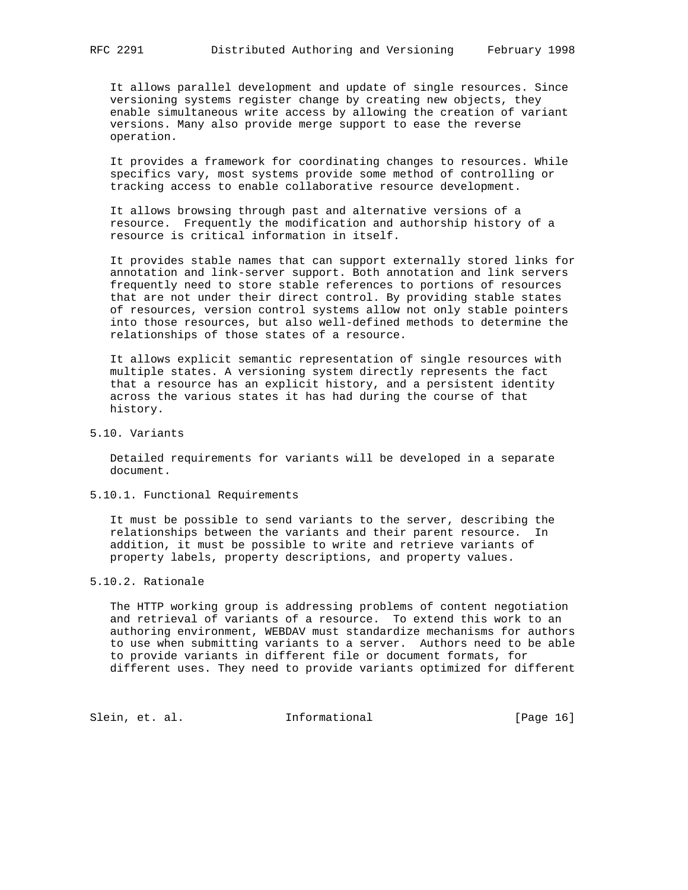It allows parallel development and update of single resources. Since versioning systems register change by creating new objects, they enable simultaneous write access by allowing the creation of variant versions. Many also provide merge support to ease the reverse operation.

 It provides a framework for coordinating changes to resources. While specifics vary, most systems provide some method of controlling or tracking access to enable collaborative resource development.

 It allows browsing through past and alternative versions of a resource. Frequently the modification and authorship history of a resource is critical information in itself.

 It provides stable names that can support externally stored links for annotation and link-server support. Both annotation and link servers frequently need to store stable references to portions of resources that are not under their direct control. By providing stable states of resources, version control systems allow not only stable pointers into those resources, but also well-defined methods to determine the relationships of those states of a resource.

 It allows explicit semantic representation of single resources with multiple states. A versioning system directly represents the fact that a resource has an explicit history, and a persistent identity across the various states it has had during the course of that history.

# 5.10. Variants

 Detailed requirements for variants will be developed in a separate document.

5.10.1. Functional Requirements

 It must be possible to send variants to the server, describing the relationships between the variants and their parent resource. In addition, it must be possible to write and retrieve variants of property labels, property descriptions, and property values.

5.10.2. Rationale

 The HTTP working group is addressing problems of content negotiation and retrieval of variants of a resource. To extend this work to an authoring environment, WEBDAV must standardize mechanisms for authors to use when submitting variants to a server. Authors need to be able to provide variants in different file or document formats, for different uses. They need to provide variants optimized for different

Slein, et. al. 1nformational [Page 16]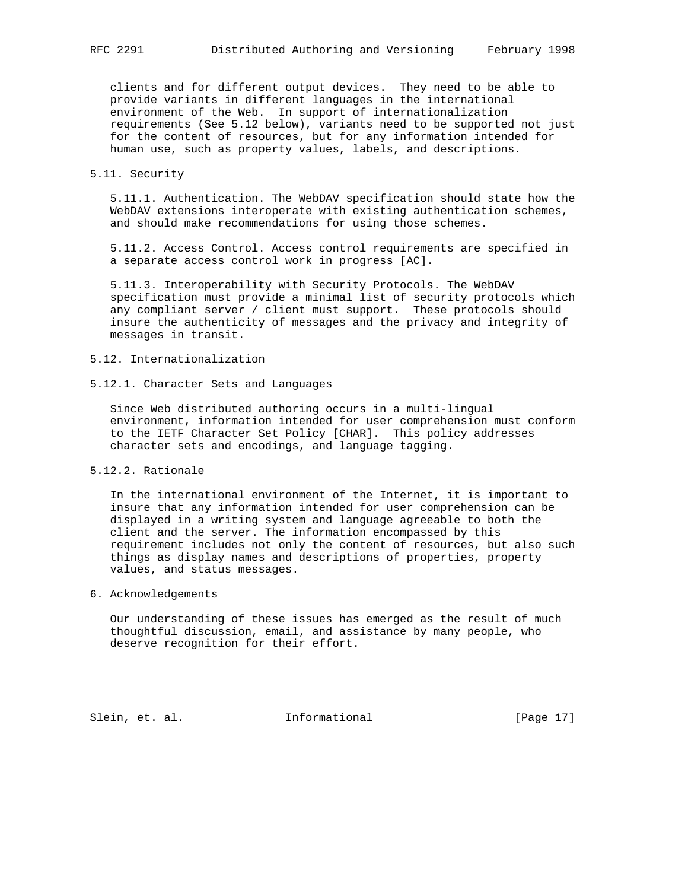clients and for different output devices. They need to be able to provide variants in different languages in the international environment of the Web. In support of internationalization requirements (See 5.12 below), variants need to be supported not just for the content of resources, but for any information intended for human use, such as property values, labels, and descriptions.

## 5.11. Security

 5.11.1. Authentication. The WebDAV specification should state how the WebDAV extensions interoperate with existing authentication schemes, and should make recommendations for using those schemes.

 5.11.2. Access Control. Access control requirements are specified in a separate access control work in progress [AC].

 5.11.3. Interoperability with Security Protocols. The WebDAV specification must provide a minimal list of security protocols which any compliant server / client must support. These protocols should insure the authenticity of messages and the privacy and integrity of messages in transit.

- 5.12. Internationalization
- 5.12.1. Character Sets and Languages

 Since Web distributed authoring occurs in a multi-lingual environment, information intended for user comprehension must conform to the IETF Character Set Policy [CHAR]. This policy addresses character sets and encodings, and language tagging.

5.12.2. Rationale

 In the international environment of the Internet, it is important to insure that any information intended for user comprehension can be displayed in a writing system and language agreeable to both the client and the server. The information encompassed by this requirement includes not only the content of resources, but also such things as display names and descriptions of properties, property values, and status messages.

6. Acknowledgements

 Our understanding of these issues has emerged as the result of much thoughtful discussion, email, and assistance by many people, who deserve recognition for their effort.

Slein, et. al. 10. Informational [Page 17]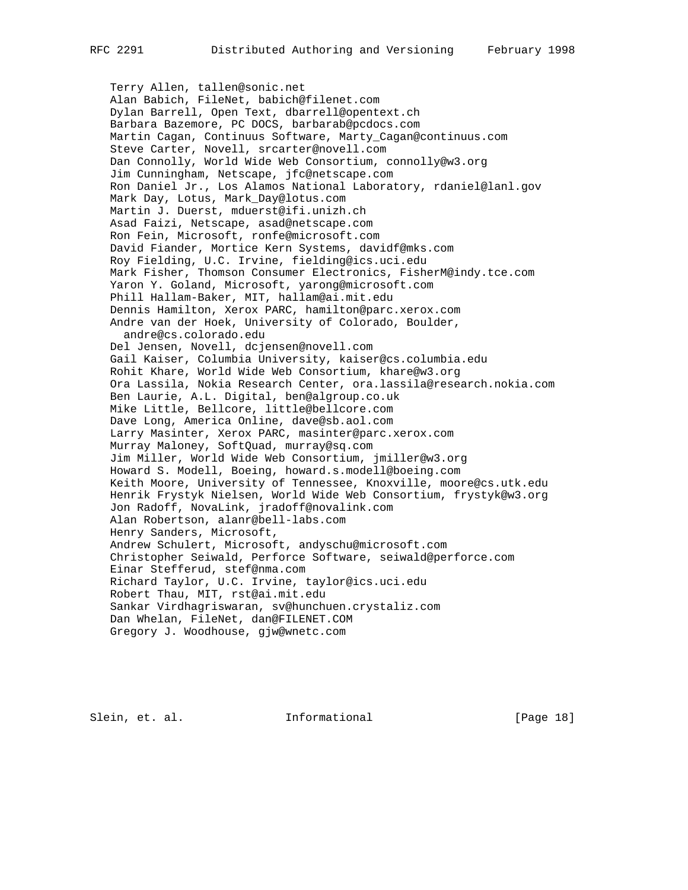Terry Allen, tallen@sonic.net Alan Babich, FileNet, babich@filenet.com Dylan Barrell, Open Text, dbarrell@opentext.ch Barbara Bazemore, PC DOCS, barbarab@pcdocs.com Martin Cagan, Continuus Software, Marty\_Cagan@continuus.com Steve Carter, Novell, srcarter@novell.com Dan Connolly, World Wide Web Consortium, connolly@w3.org Jim Cunningham, Netscape, jfc@netscape.com Ron Daniel Jr., Los Alamos National Laboratory, rdaniel@lanl.gov Mark Day, Lotus, Mark\_Day@lotus.com Martin J. Duerst, mduerst@ifi.unizh.ch Asad Faizi, Netscape, asad@netscape.com Ron Fein, Microsoft, ronfe@microsoft.com David Fiander, Mortice Kern Systems, davidf@mks.com Roy Fielding, U.C. Irvine, fielding@ics.uci.edu Mark Fisher, Thomson Consumer Electronics, FisherM@indy.tce.com Yaron Y. Goland, Microsoft, yarong@microsoft.com Phill Hallam-Baker, MIT, hallam@ai.mit.edu Dennis Hamilton, Xerox PARC, hamilton@parc.xerox.com Andre van der Hoek, University of Colorado, Boulder, andre@cs.colorado.edu Del Jensen, Novell, dcjensen@novell.com Gail Kaiser, Columbia University, kaiser@cs.columbia.edu Rohit Khare, World Wide Web Consortium, khare@w3.org Ora Lassila, Nokia Research Center, ora.lassila@research.nokia.com Ben Laurie, A.L. Digital, ben@algroup.co.uk Mike Little, Bellcore, little@bellcore.com Dave Long, America Online, dave@sb.aol.com Larry Masinter, Xerox PARC, masinter@parc.xerox.com Murray Maloney, SoftQuad, murray@sq.com Jim Miller, World Wide Web Consortium, jmiller@w3.org Howard S. Modell, Boeing, howard.s.modell@boeing.com Keith Moore, University of Tennessee, Knoxville, moore@cs.utk.edu Henrik Frystyk Nielsen, World Wide Web Consortium, frystyk@w3.org Jon Radoff, NovaLink, jradoff@novalink.com Alan Robertson, alanr@bell-labs.com Henry Sanders, Microsoft, Andrew Schulert, Microsoft, andyschu@microsoft.com Christopher Seiwald, Perforce Software, seiwald@perforce.com Einar Stefferud, stef@nma.com Richard Taylor, U.C. Irvine, taylor@ics.uci.edu Robert Thau, MIT, rst@ai.mit.edu Sankar Virdhagriswaran, sv@hunchuen.crystaliz.com Dan Whelan, FileNet, dan@FILENET.COM Gregory J. Woodhouse, gjw@wnetc.com

Slein, et. al. 10. Informational [Page 18]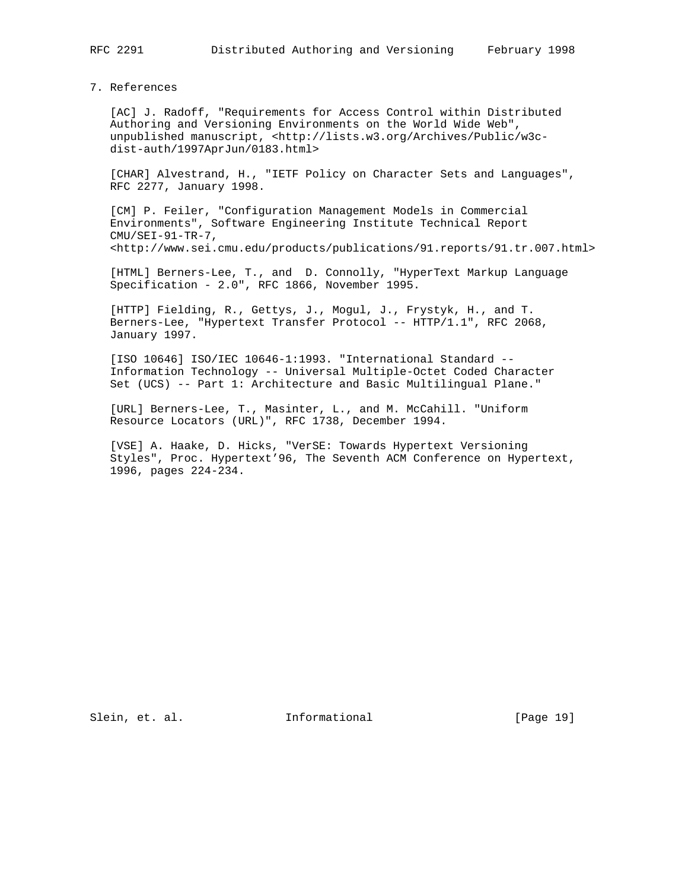7. References

 [AC] J. Radoff, "Requirements for Access Control within Distributed Authoring and Versioning Environments on the World Wide Web", unpublished manuscript, <http://lists.w3.org/Archives/Public/w3c dist-auth/1997AprJun/0183.html>

 [CHAR] Alvestrand, H., "IETF Policy on Character Sets and Languages", RFC 2277, January 1998.

 [CM] P. Feiler, "Configuration Management Models in Commercial Environments", Software Engineering Institute Technical Report CMU/SEI-91-TR-7, <http://www.sei.cmu.edu/products/publications/91.reports/91.tr.007.html>

 [HTML] Berners-Lee, T., and D. Connolly, "HyperText Markup Language Specification - 2.0", RFC 1866, November 1995.

 [HTTP] Fielding, R., Gettys, J., Mogul, J., Frystyk, H., and T. Berners-Lee, "Hypertext Transfer Protocol -- HTTP/1.1", RFC 2068, January 1997.

 [ISO 10646] ISO/IEC 10646-1:1993. "International Standard -- Information Technology -- Universal Multiple-Octet Coded Character Set (UCS) -- Part 1: Architecture and Basic Multilingual Plane."

 [URL] Berners-Lee, T., Masinter, L., and M. McCahill. "Uniform Resource Locators (URL)", RFC 1738, December 1994.

 [VSE] A. Haake, D. Hicks, "VerSE: Towards Hypertext Versioning Styles", Proc. Hypertext'96, The Seventh ACM Conference on Hypertext, 1996, pages 224-234.

Slein, et. al. 10. Informational [Page 19]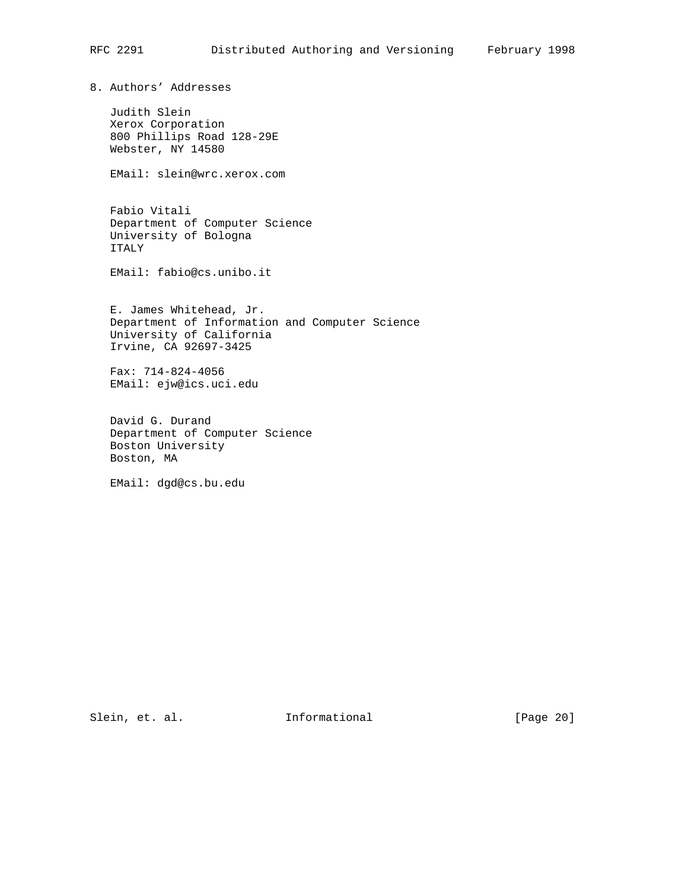8. Authors' Addresses

 Judith Slein Xerox Corporation 800 Phillips Road 128-29E Webster, NY 14580

EMail: slein@wrc.xerox.com

 Fabio Vitali Department of Computer Science University of Bologna ITALY

EMail: fabio@cs.unibo.it

 E. James Whitehead, Jr. Department of Information and Computer Science University of California Irvine, CA 92697-3425

 Fax: 714-824-4056 EMail: ejw@ics.uci.edu

 David G. Durand Department of Computer Science Boston University Boston, MA

EMail: dgd@cs.bu.edu

Slein, et. al. 1nformational [Page 20]